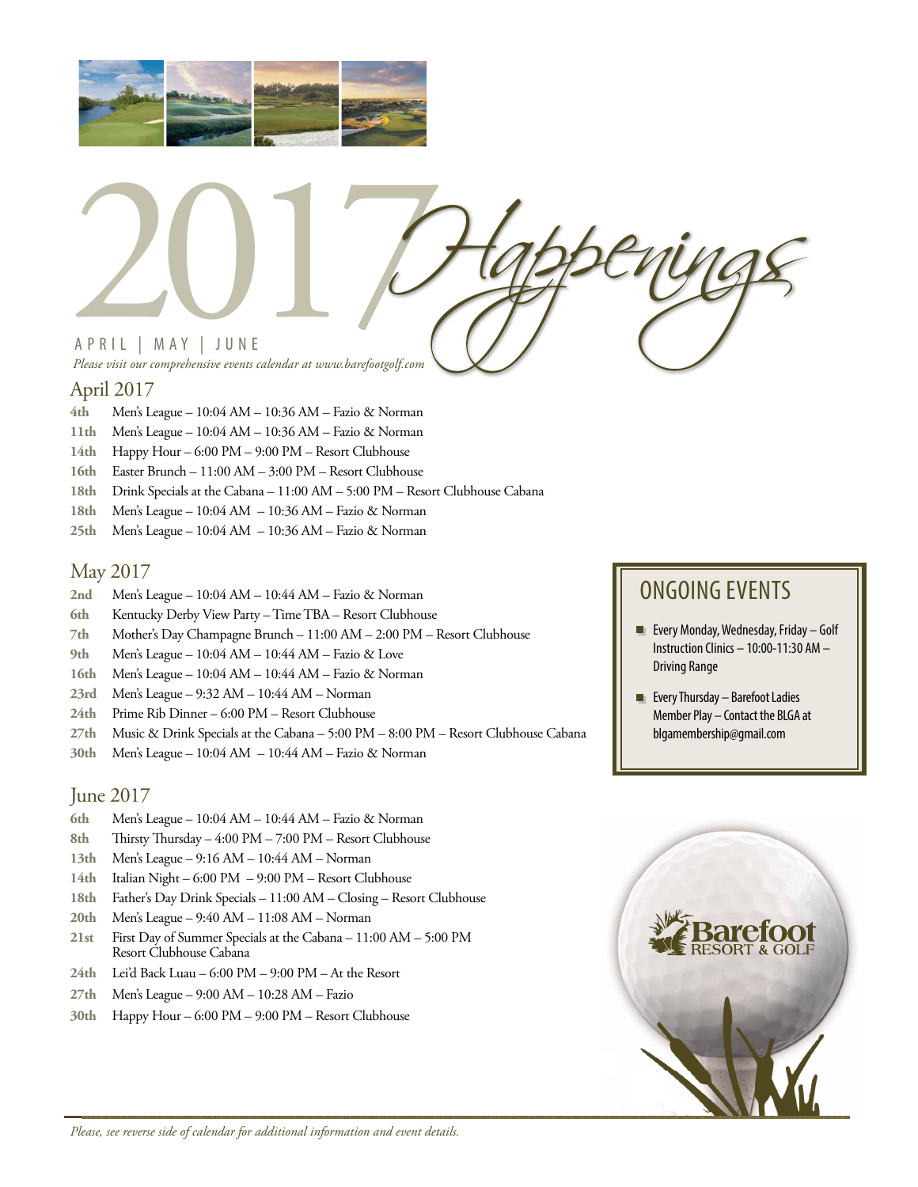



# April 2017

- **4th** Men's League 10:04 AM 10:36 AM Fazio & Norman
- **11th** Men's League 10:04 AM 10:36 AM Fazio & Norman
- **14th** Happy Hour 6:00 PM 9:00 PM Resort Clubhouse
- **16th** Easter Brunch 11:00 AM 3:00 PM Resort Clubhouse
- **18th** Drink Specials at the Cabana 11:00 AM 5:00 PM Resort Clubhouse Cabana
- **18th** Men's League 10:04 AM 10:36 AM Fazio & Norman
- **25th** Men's League 10:04 AM 10:36 AM Fazio & Norman

## May 2017

- **2nd** Men's League 10:04 AM 10:44 AM Fazio & Norman
- **6th** Kentucky Derby View Party Time TBA Resort Clubhouse
- **7th** Mother's Day Champagne Brunch 11:00 AM 2:00 PM Resort Clubhouse
- **9th** Men's League 10:04 AM 10:44 AM Fazio & Love
- **16th** Men's League 10:04 AM 10:44 AM Fazio & Norman
- **23rd** Men's League 9:32 AM 10:44 AM Norman
- **24th** Prime Rib Dinner 6:00 PM Resort Clubhouse
- **27th** Music & Drink Specials at the Cabana 5:00 PM 8:00 PM Resort Clubhouse Cabana
- **30th** Men's League 10:04 AM 10:44 AM Fazio & Norman

## June 2017

- **6th** Men's League 10:04 AM 10:44 AM Fazio & Norman
- **8th** Thirsty Thursday 4:00 PM 7:00 PM Resort Clubhouse
- **13th** Men's League 9:16 AM 10:44 AM Norman
- **14th** Italian Night 6:00 PM 9:00 PM Resort Clubhouse
- **18th** Father's Day Drink Specials 11:00 AM Closing Resort Clubhouse
- **20th** Men's League 9:40 AM 11:08 AM Norman
- **21st** First Day of Summer Specials at the Cabana 11:00 AM 5:00 PM Resort Clubhouse Cabana
- **24th** Lei'd Back Luau 6:00 PM 9:00 PM At the Resort
- **27th** Men's League 9:00 AM 10:28 AM Fazio
- **30th** Happy Hour 6:00 PM 9:00 PM Resort Clubhouse

# ONGOING EVENTS

- **Every Monday, Wednesday, Friday Golf** Instruction Clinics – 10:00-11:30 AM – Driving Range
- **EVERY Thursday Barefoot Ladies** Member Play – Contact the BLGA at blgamembership@gmail.com



*Please, see reverse side of calendar for additional information and event details.*